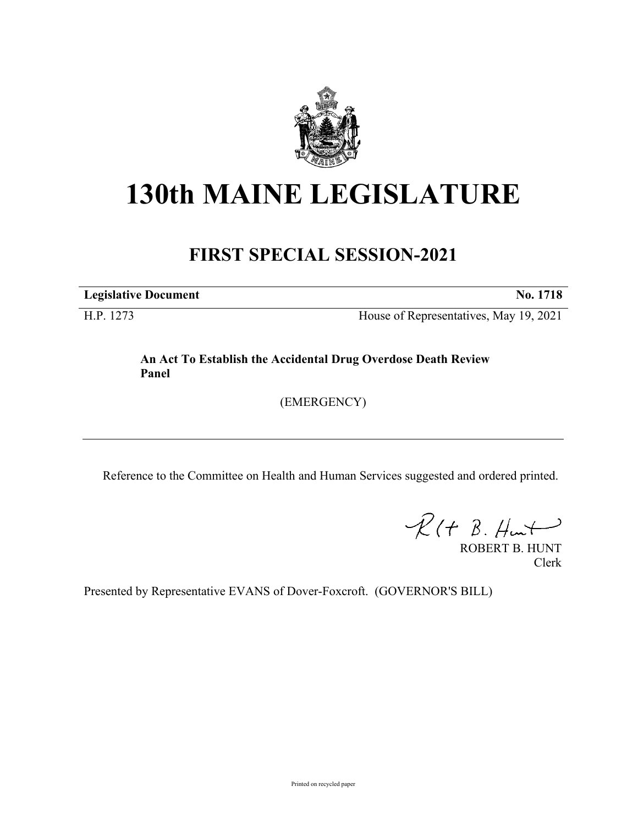

## **130th MAINE LEGISLATURE**

## **FIRST SPECIAL SESSION-2021**

**Legislative Document No. 1718**

H.P. 1273 House of Representatives, May 19, 2021

**An Act To Establish the Accidental Drug Overdose Death Review Panel**

(EMERGENCY)

Reference to the Committee on Health and Human Services suggested and ordered printed.

 $R(H B. Hmt)$ 

ROBERT B. HUNT Clerk

Presented by Representative EVANS of Dover-Foxcroft. (GOVERNOR'S BILL)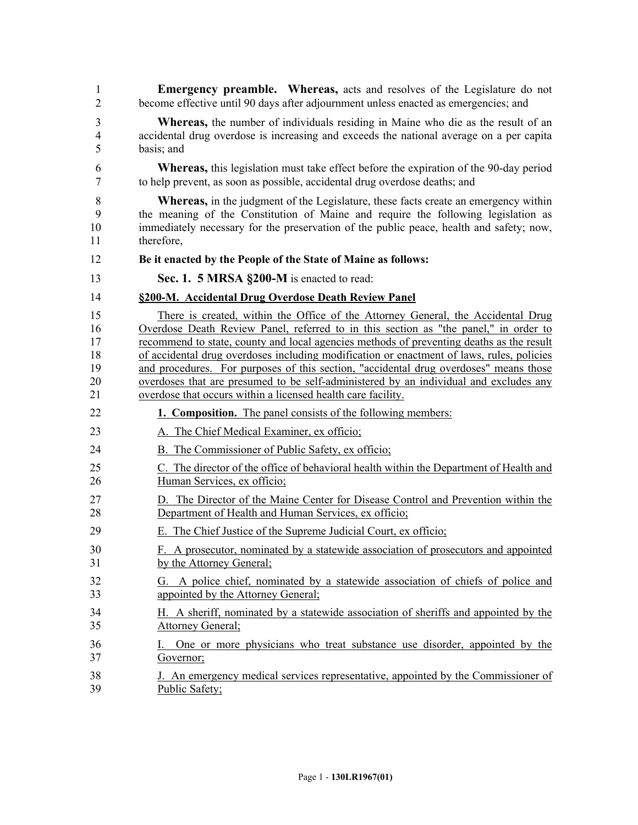| $\mathbf{1}$   | <b>Emergency preamble.</b> Whereas, acts and resolves of the Legislature do not              |
|----------------|----------------------------------------------------------------------------------------------|
| $\overline{2}$ | become effective until 90 days after adjournment unless enacted as emergencies; and          |
| 3              | <b>Whereas,</b> the number of individuals residing in Maine who die as the result of an      |
| $\overline{4}$ | accidental drug overdose is increasing and exceeds the national average on a per capita      |
| 5              | basis; and                                                                                   |
| 6              | <b>Whereas,</b> this legislation must take effect before the expiration of the 90-day period |
| $\tau$         | to help prevent, as soon as possible, accidental drug overdose deaths; and                   |
| $8\,$          | <b>Whereas,</b> in the judgment of the Legislature, these facts create an emergency within   |
| 9              | the meaning of the Constitution of Maine and require the following legislation as            |
| 10             | immediately necessary for the preservation of the public peace, health and safety; now,      |
| 11             | therefore,                                                                                   |
| 12             | Be it enacted by the People of the State of Maine as follows:                                |
| 13             | Sec. 1. 5 MRSA §200-M is enacted to read:                                                    |
| 14             | §200-M. Accidental Drug Overdose Death Review Panel                                          |
| 15             | There is created, within the Office of the Attorney General, the Accidental Drug             |
| 16             | Overdose Death Review Panel, referred to in this section as "the panel," in order to         |
| 17             | recommend to state, county and local agencies methods of preventing deaths as the result     |
| 18             | of accidental drug overdoses including modification or enactment of laws, rules, policies    |
| 19             | and procedures. For purposes of this section, "accidental drug overdoses" means those        |
| 20             | overdoses that are presumed to be self-administered by an individual and excludes any        |
| 21             | overdose that occurs within a licensed health care facility.                                 |
| 22             | <b>1. Composition.</b> The panel consists of the following members:                          |
| 23             | A. The Chief Medical Examiner, ex officio;                                                   |
| 24             | B. The Commissioner of Public Safety, ex officio;                                            |
| 25             | C. The director of the office of behavioral health within the Department of Health and       |
| 26             | Human Services, ex officio;                                                                  |
| 27             | D. The Director of the Maine Center for Disease Control and Prevention within the            |
| 28             | Department of Health and Human Services, ex officio;                                         |
| 29             | E. The Chief Justice of the Supreme Judicial Court, ex officio;                              |
| 30             | F. A prosecutor, nominated by a statewide association of prosecutors and appointed           |
| 31             | by the Attorney General;                                                                     |
| 32             | G. A police chief, nominated by a statewide association of chiefs of police and              |
| 33             | appointed by the Attorney General;                                                           |
| 34             | H. A sheriff, nominated by a statewide association of sheriffs and appointed by the          |
| 35             | <b>Attorney General;</b>                                                                     |
| 36             | One or more physicians who treat substance use disorder, appointed by the                    |
| 37             | Governor;                                                                                    |
| 38             | J. An emergency medical services representative, appointed by the Commissioner of            |
| 39             | Public Safety;                                                                               |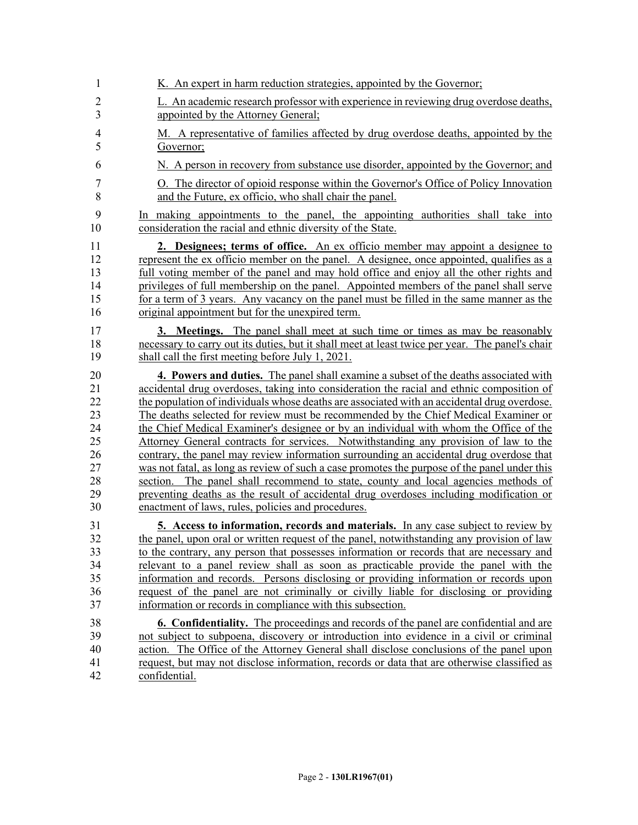| 1                                | K. An expert in harm reduction strategies, appointed by the Governor;                                                                                                                                                                                                                                                                                                                                                                                                                                         |
|----------------------------------|---------------------------------------------------------------------------------------------------------------------------------------------------------------------------------------------------------------------------------------------------------------------------------------------------------------------------------------------------------------------------------------------------------------------------------------------------------------------------------------------------------------|
| $\overline{c}$                   | L. An academic research professor with experience in reviewing drug overdose deaths,                                                                                                                                                                                                                                                                                                                                                                                                                          |
| 3                                | appointed by the Attorney General;                                                                                                                                                                                                                                                                                                                                                                                                                                                                            |
| $\overline{4}$<br>5              | M. A representative of families affected by drug overdose deaths, appointed by the<br>Governor;                                                                                                                                                                                                                                                                                                                                                                                                               |
| 6                                | N. A person in recovery from substance use disorder, appointed by the Governor; and                                                                                                                                                                                                                                                                                                                                                                                                                           |
| 7<br>8                           | O. The director of opioid response within the Governor's Office of Policy Innovation<br>and the Future, ex officio, who shall chair the panel.                                                                                                                                                                                                                                                                                                                                                                |
| 9<br>10                          | In making appointments to the panel, the appointing authorities shall take into<br>consideration the racial and ethnic diversity of the State.                                                                                                                                                                                                                                                                                                                                                                |
| 11<br>12<br>13<br>14<br>15<br>16 | 2. Designees; terms of office. An ex officio member may appoint a designee to<br>represent the ex officio member on the panel. A designee, once appointed, qualifies as a<br>full voting member of the panel and may hold office and enjoy all the other rights and<br>privileges of full membership on the panel. Appointed members of the panel shall serve<br>for a term of 3 years. Any vacancy on the panel must be filled in the same manner as the<br>original appointment but for the unexpired term. |
| 17<br>18<br>19                   | 3. Meetings. The panel shall meet at such time or times as may be reasonably<br>necessary to carry out its duties, but it shall meet at least twice per year. The panel's chair<br>shall call the first meeting before July 1, 2021.                                                                                                                                                                                                                                                                          |
| 20                               | 4. Powers and duties. The panel shall examine a subset of the deaths associated with                                                                                                                                                                                                                                                                                                                                                                                                                          |
| 21                               | accidental drug overdoses, taking into consideration the racial and ethnic composition of                                                                                                                                                                                                                                                                                                                                                                                                                     |
| 22                               | the population of individuals whose deaths are associated with an accidental drug overdose.                                                                                                                                                                                                                                                                                                                                                                                                                   |
| 23                               | The deaths selected for review must be recommended by the Chief Medical Examiner or                                                                                                                                                                                                                                                                                                                                                                                                                           |
| 24                               | the Chief Medical Examiner's designee or by an individual with whom the Office of the                                                                                                                                                                                                                                                                                                                                                                                                                         |
| 25                               | Attorney General contracts for services. Notwithstanding any provision of law to the                                                                                                                                                                                                                                                                                                                                                                                                                          |
| 26                               | contrary, the panel may review information surrounding an accidental drug overdose that                                                                                                                                                                                                                                                                                                                                                                                                                       |
| 27                               | was not fatal, as long as review of such a case promotes the purpose of the panel under this                                                                                                                                                                                                                                                                                                                                                                                                                  |
| 28                               | section. The panel shall recommend to state, county and local agencies methods of                                                                                                                                                                                                                                                                                                                                                                                                                             |
| 29                               | preventing deaths as the result of accidental drug overdoses including modification or                                                                                                                                                                                                                                                                                                                                                                                                                        |
| 30                               | enactment of laws, rules, policies and procedures.                                                                                                                                                                                                                                                                                                                                                                                                                                                            |
| 31                               | 5. Access to information, records and materials. In any case subject to review by                                                                                                                                                                                                                                                                                                                                                                                                                             |
| 32                               | the panel, upon oral or written request of the panel, notwithstanding any provision of law                                                                                                                                                                                                                                                                                                                                                                                                                    |
| 33                               | to the contrary, any person that possesses information or records that are necessary and                                                                                                                                                                                                                                                                                                                                                                                                                      |
| 34                               | relevant to a panel review shall as soon as practicable provide the panel with the                                                                                                                                                                                                                                                                                                                                                                                                                            |
| 35                               | information and records. Persons disclosing or providing information or records upon                                                                                                                                                                                                                                                                                                                                                                                                                          |
| 36                               | request of the panel are not criminally or civilly liable for disclosing or providing                                                                                                                                                                                                                                                                                                                                                                                                                         |
| 37                               | information or records in compliance with this subsection.                                                                                                                                                                                                                                                                                                                                                                                                                                                    |
| 38                               | <b>6. Confidentiality.</b> The proceedings and records of the panel are confidential and are                                                                                                                                                                                                                                                                                                                                                                                                                  |
| 39                               | not subject to subpoena, discovery or introduction into evidence in a civil or criminal                                                                                                                                                                                                                                                                                                                                                                                                                       |
| 40                               | action. The Office of the Attorney General shall disclose conclusions of the panel upon                                                                                                                                                                                                                                                                                                                                                                                                                       |
| 41                               | request, but may not disclose information, records or data that are otherwise classified as                                                                                                                                                                                                                                                                                                                                                                                                                   |
| 42                               | confidential.                                                                                                                                                                                                                                                                                                                                                                                                                                                                                                 |